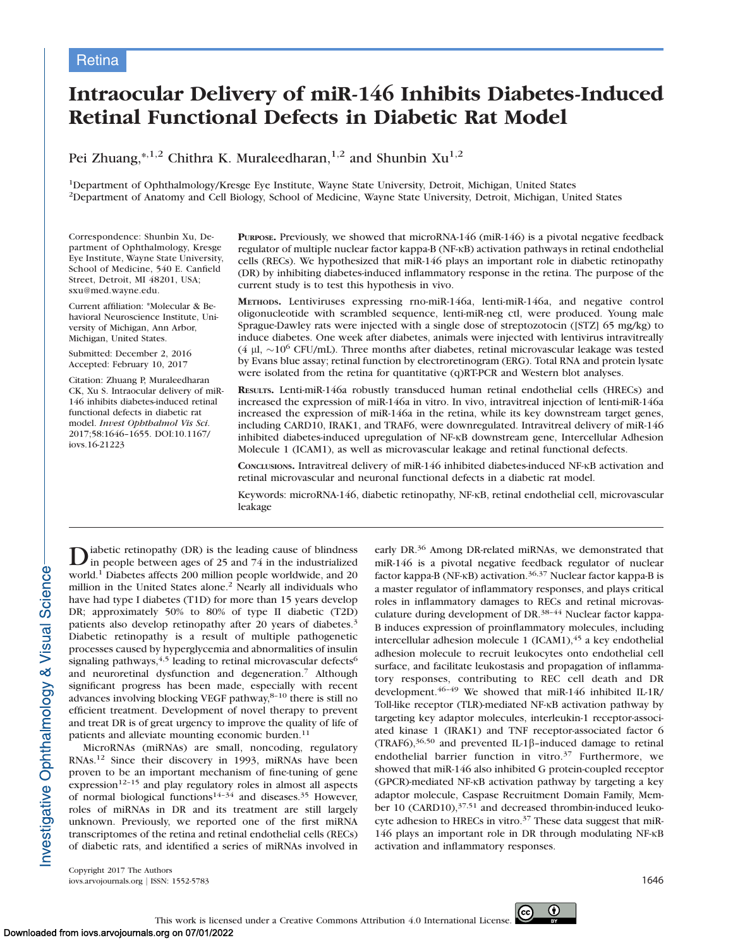# Intraocular Delivery of miR-146 Inhibits Diabetes-Induced Retinal Functional Defects in Diabetic Rat Model

Pei Zhuang,\*,1,2 Chithra K. Muraleedharan, $1,2$  and Shunbin  $Xu^{1,2}$ 

1Department of Ophthalmology/Kresge Eye Institute, Wayne State University, Detroit, Michigan, United States 2Department of Anatomy and Cell Biology, School of Medicine, Wayne State University, Detroit, Michigan, United States

Correspondence: Shunbin Xu, Department of Ophthalmology, Kresge Eye Institute, Wayne State University, School of Medicine, 540 E. Canfield Street, Detroit, MI 48201, USA; sxu@med.wayne.edu.

Current affiliation: \*Molecular & Behavioral Neuroscience Institute, University of Michigan, Ann Arbor, Michigan, United States.

Submitted: December 2, 2016 Accepted: February 10, 2017

Citation: Zhuang P, Muraleedharan CK, Xu S. Intraocular delivery of miR-146 inhibits diabetes-induced retinal functional defects in diabetic rat model. Invest Ophthalmol Vis Sci. 2017;58:1646–1655. DOI:10.1167/ iovs.16-21223

PURPOSE. Previously, we showed that microRNA-146 (miR-146) is a pivotal negative feedback regulator of multiple nuclear factor kappa-B (NF-KB) activation pathways in retinal endothelial cells (RECs). We hypothesized that miR-146 plays an important role in diabetic retinopathy (DR) by inhibiting diabetes-induced inflammatory response in the retina. The purpose of the current study is to test this hypothesis in vivo.

METHODS. Lentiviruses expressing rno-miR-146a, lenti-miR-146a, and negative control oligonucleotide with scrambled sequence, lenti-miR-neg ctl, were produced. Young male Sprague-Dawley rats were injected with a single dose of streptozotocin ([STZ] 65 mg/kg) to induce diabetes. One week after diabetes, animals were injected with lentivirus intravitreally (4  $\mu$ l, ~10<sup>6</sup> CFU/mL). Three months after diabetes, retinal microvascular leakage was tested by Evans blue assay; retinal function by electroretinogram (ERG). Total RNA and protein lysate were isolated from the retina for quantitative (q)RT-PCR and Western blot analyses.

RESULTS. Lenti-miR-146a robustly transduced human retinal endothelial cells (HRECs) and increased the expression of miR-146a in vitro. In vivo, intravitreal injection of lenti-miR-146a increased the expression of miR-146a in the retina, while its key downstream target genes, including CARD10, IRAK1, and TRAF6, were downregulated. Intravitreal delivery of miR-146 inhibited diabetes-induced upregulation of NF-KB downstream gene, Intercellular Adhesion Molecule 1 (ICAM1), as well as microvascular leakage and retinal functional defects.

CONCLUSIONS. Intravitreal delivery of miR-146 inhibited diabetes-induced NF-KB activation and retinal microvascular and neuronal functional defects in a diabetic rat model.

Keywords: microRNA-146, diabetic retinopathy, NF-KB, retinal endothelial cell, microvascular leakage

Diabetic retinopathy (DR) is the leading cause of blindness<br>in people between ages of 25 and 74 in the industrialized world.<sup>1</sup> Diabetes affects 200 million people worldwide, and 20 million in the United States alone.<sup>2</sup> Nearly all individuals who have had type I diabetes (T1D) for more than 15 years develop DR; approximately 50% to 80% of type II diabetic (T2D) patients also develop retinopathy after 20 years of diabetes.<sup>3</sup> Diabetic retinopathy is a result of multiple pathogenetic processes caused by hyperglycemia and abnormalities of insulin signaling pathways,  $4,5$  leading to retinal microvascular defects  $6$ and neuroretinal dysfunction and degeneration.<sup>7</sup> Although significant progress has been made, especially with recent advances involving blocking VEGF pathway, $8-10$  there is still no efficient treatment. Development of novel therapy to prevent and treat DR is of great urgency to improve the quality of life of patients and alleviate mounting economic burden.<sup>11</sup>

MicroRNAs (miRNAs) are small, noncoding, regulatory RNAs.<sup>12</sup> Since their discovery in 1993, miRNAs have been proven to be an important mechanism of fine-tuning of gene  $\exp$ ression<sup>12-15</sup> and play regulatory roles in almost all aspects of normal biological functions<sup>14-34</sup> and diseases.<sup>35</sup> However, roles of miRNAs in DR and its treatment are still largely unknown. Previously, we reported one of the first miRNA transcriptomes of the retina and retinal endothelial cells (RECs) of diabetic rats, and identified a series of miRNAs involved in early DR.<sup>36</sup> Among DR-related miRNAs, we demonstrated that miR-146 is a pivotal negative feedback regulator of nuclear factor kappa-B (NF- $\kappa$ B) activation.<sup>36,37</sup> Nuclear factor kappa-B is a master regulator of inflammatory responses, and plays critical roles in inflammatory damages to RECs and retinal microvasculature during development of DR.38–44 Nuclear factor kappa-B induces expression of proinflammatory molecules, including intercellular adhesion molecule 1 (ICAM1), $45$  a key endothelial adhesion molecule to recruit leukocytes onto endothelial cell surface, and facilitate leukostasis and propagation of inflammatory responses, contributing to REC cell death and DR development.<sup>46-49</sup> We showed that miR-146 inhibited IL-1R/ Toll-like receptor (TLR)-mediated NF-KB activation pathway by targeting key adaptor molecules, interleukin-1 receptor-associated kinase 1 (IRAK1) and TNF receptor-associated factor 6 (TRAF6),<sup>36,50</sup> and prevented IL-1 $\beta$ -induced damage to retinal endothelial barrier function in vitro.<sup>37</sup> Furthermore, we showed that miR-146 also inhibited G protein-coupled receptor (GPCR)-mediated NF-KB activation pathway by targeting a key adaptor molecule, Caspase Recruitment Domain Family, Member 10 (CARD10),<sup>37,51</sup> and decreased thrombin-induced leukocyte adhesion to HRECs in vitro.<sup>37</sup> These data suggest that miR- $146$  plays an important role in DR through modulating NF- $\kappa$ B activation and inflammatory responses.

Copyright 2017 The Authors iovs.arvojournals.org | ISSN: 1552-5783 1646

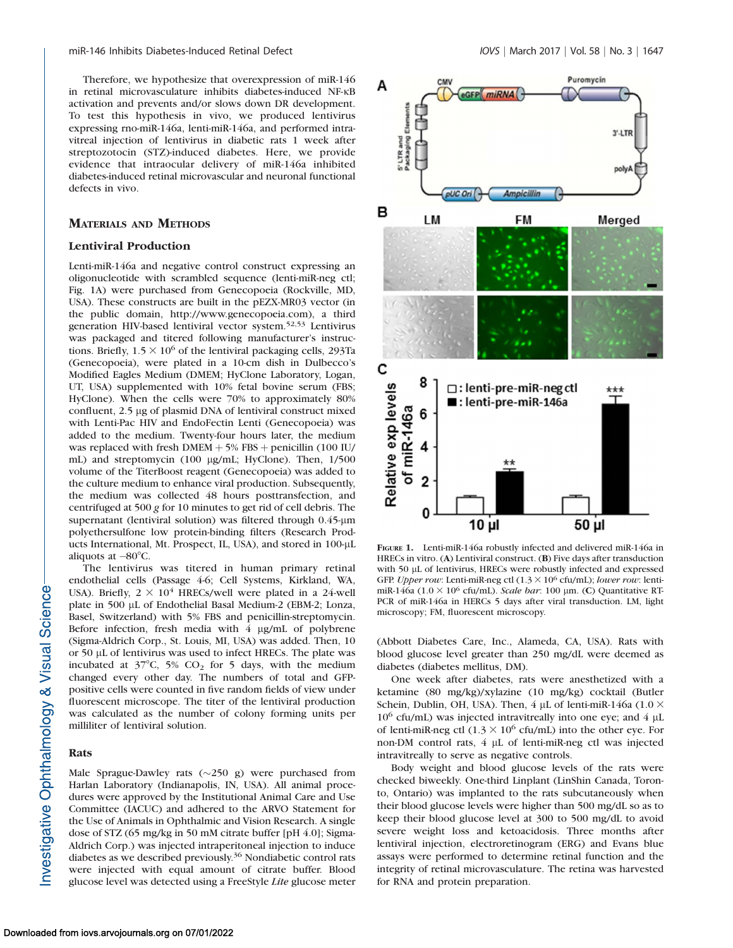Therefore, we hypothesize that overexpression of miR-146 in retinal microvasculature inhibits diabetes-induced NF-KB activation and prevents and/or slows down DR development. To test this hypothesis in vivo, we produced lentivirus expressing rno-miR-146a, lenti-miR-146a, and performed intravitreal injection of lentivirus in diabetic rats 1 week after streptozotocin (STZ)-induced diabetes. Here, we provide evidence that intraocular delivery of miR-146a inhibited diabetes-induced retinal microvascular and neuronal functional defects in vivo.

# MATERIALS AND METHODS

### Lentiviral Production

Lenti-miR-146a and negative control construct expressing an oligonucleotide with scrambled sequence (lenti-miR-neg ctl; Fig. 1A) were purchased from Genecopoeia (Rockville, MD, USA). These constructs are built in the pEZX-MR03 vector (in the public domain, http://www.genecopoeia.com), a third generation HIV-based lentiviral vector system.52,53 Lentivirus was packaged and titered following manufacturer's instructions. Briefly,  $1.5 \times 10^6$  of the lentiviral packaging cells, 293Ta (Genecopoeia), were plated in a 10-cm dish in Dulbecco's Modified Eagles Medium (DMEM; HyClone Laboratory, Logan, UT, USA) supplemented with 10% fetal bovine serum (FBS; HyClone). When the cells were 70% to approximately 80% confluent, 2.5 µg of plasmid DNA of lentiviral construct mixed with Lenti-Pac HIV and EndoFectin Lenti (Genecopoeia) was added to the medium. Twenty-four hours later, the medium was replaced with fresh DMEM  $+ 5\%$  FBS  $+$  penicillin (100 IU/ mL) and streptomycin (100 µg/mL; HyClone). Then, 1/500 volume of the TiterBoost reagent (Genecopoeia) was added to the culture medium to enhance viral production. Subsequently, the medium was collected 48 hours posttransfection, and centrifuged at  $500 g$  for 10 minutes to get rid of cell debris. The supernatant (lentiviral solution) was filtered through 0.45-µm polyethersulfone low protein-binding filters (Research Products International, Mt. Prospect, IL, USA), and stored in 100-µL aliquots at  $-80^{\circ}$ C.

The lentivirus was titered in human primary retinal endothelial cells (Passage 4-6; Cell Systems, Kirkland, WA, USA). Briefly,  $2 \times 10^4$  HRECs/well were plated in a 24-well plate in 500 µL of Endothelial Basal Medium-2 (EBM-2; Lonza, Basel, Switzerland) with 5% FBS and penicillin-streptomycin. Before infection, fresh media with  $4 \mu g/mL$  of polybrene (Sigma-Aldrich Corp., St. Louis, MI, USA) was added. Then, 10 or 50 µL of lentivirus was used to infect HRECs. The plate was incubated at  $37^{\circ}$ C, 5% CO<sub>2</sub> for 5 days, with the medium changed every other day. The numbers of total and GFPpositive cells were counted in five random fields of view under fluorescent microscope. The titer of the lentiviral production was calculated as the number of colony forming units per milliliter of lentiviral solution.

#### Rats

Male Sprague-Dawley rats  $(\sim 250 \text{ g})$  were purchased from Harlan Laboratory (Indianapolis, IN, USA). All animal procedures were approved by the Institutional Animal Care and Use Committee (IACUC) and adhered to the ARVO Statement for the Use of Animals in Ophthalmic and Vision Research. A single dose of STZ (65 mg/kg in 50 mM citrate buffer [pH 4.0]; Sigma-Aldrich Corp.) was injected intraperitoneal injection to induce diabetes as we described previously.36 Nondiabetic control rats were injected with equal amount of citrate buffer. Blood glucose level was detected using a FreeStyle Lite glucose meter



FIGURE 1. Lenti-miR-146a robustly infected and delivered miR-146a in HRECs in vitro. (A) Lentiviral construct. (B) Five days after transduction with 50 µL of lentivirus, HRECs were robustly infected and expressed GFP. Upper row: Lenti-miR-neg ctl  $(1.3 \times 10^6 \text{ cftt/mL})$ ; lower row: lentimiR-146a (1.0  $\times$  10<sup>6</sup> cfu/mL). Scale bar: 100 µm. (C) Quantitative RT-PCR of miR-146a in HERCs 5 days after viral transduction. LM, light microscopy; FM, fluorescent microscopy.

(Abbott Diabetes Care, Inc., Alameda, CA, USA). Rats with blood glucose level greater than 250 mg/dL were deemed as diabetes (diabetes mellitus, DM).

One week after diabetes, rats were anesthetized with a ketamine (80 mg/kg)/xylazine (10 mg/kg) cocktail (Butler Schein, Dublin, OH, USA). Then, 4  $\mu$ L of lenti-miR-146a (1.0  $\times$  $10^6$  cfu/mL) was injected intravitreally into one eye; and  $4 \mu$ L of lenti-miR-neg ctl  $(1.3 \times 10^6 \text{ cftt/mL})$  into the other eye. For non-DM control rats,  $4 \mu L$  of lenti-miR-neg ctl was injected intravitreally to serve as negative controls.

Body weight and blood glucose levels of the rats were checked biweekly. One-third Linplant (LinShin Canada, Toronto, Ontario) was implanted to the rats subcutaneously when their blood glucose levels were higher than 500 mg/dL so as to keep their blood glucose level at 300 to 500 mg/dL to avoid severe weight loss and ketoacidosis. Three months after lentiviral injection, electroretinogram (ERG) and Evans blue assays were performed to determine retinal function and the integrity of retinal microvasculature. The retina was harvested for RNA and protein preparation.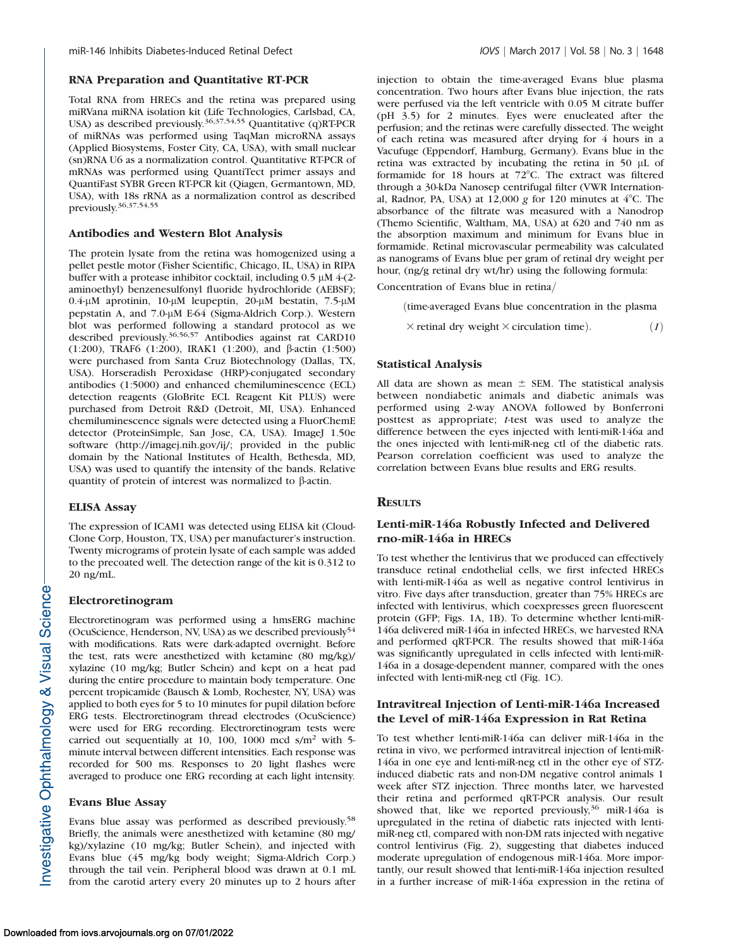## RNA Preparation and Quantitative RT-PCR

Total RNA from HRECs and the retina was prepared using miRVana miRNA isolation kit (Life Technologies, Carlsbad, CA, USA) as described previously.<sup>36,37,54,55</sup> Quantitative (q)RT-PCR of miRNAs was performed using TaqMan microRNA assays (Applied Biosystems, Foster City, CA, USA), with small nuclear (sn)RNA U6 as a normalization control. Quantitative RT-PCR of mRNAs was performed using QuantiTect primer assays and QuantiFast SYBR Green RT-PCR kit (Qiagen, Germantown, MD, USA), with 18s rRNA as a normalization control as described previously.36,37,54,55

## Antibodies and Western Blot Analysis

The protein lysate from the retina was homogenized using a pellet pestle motor (Fisher Scientific, Chicago, IL, USA) in RIPA buffer with a protease inhibitor cocktail, including  $0.5 \mu M$  4-(2aminoethyl) benzenesulfonyl fluoride hydrochloride (AEBSF); 0.4-µM aprotinin, 10-µM leupeptin, 20-µM bestatin, 7.5-µM pepstatin A, and 7.0-μM E-64 (Sigma-Aldrich Corp.). Western blot was performed following a standard protocol as we described previously.36,56,57 Antibodies against rat CARD10 (1:200), TRAF6 (1:200), IRAK1 (1:200), and b-actin (1:500) were purchased from Santa Cruz Biotechnology (Dallas, TX, USA). Horseradish Peroxidase (HRP)-conjugated secondary antibodies (1:5000) and enhanced chemiluminescence (ECL) detection reagents (GloBrite ECL Reagent Kit PLUS) were purchased from Detroit R&D (Detroit, MI, USA). Enhanced chemiluminescence signals were detected using a FluorChemE detector (ProteinSimple, San Jose, CA, USA). ImageJ 1.50e software (http://imagej.nih.gov/ij/; provided in the public domain by the National Institutes of Health, Bethesda, MD, USA) was used to quantify the intensity of the bands. Relative quantity of protein of interest was normalized to  $\beta$ -actin.

### ELISA Assay

The expression of ICAM1 was detected using ELISA kit (Cloud-Clone Corp, Houston, TX, USA) per manufacturer's instruction. Twenty micrograms of protein lysate of each sample was added to the precoated well. The detection range of the kit is 0.312 to 20 ng/mL.

### Electroretinogram

Electroretinogram was performed using a hmsERG machine (OcuScience, Henderson, NV, USA) as we described previously<sup>54</sup> with modifications. Rats were dark-adapted overnight. Before the test, rats were anesthetized with ketamine (80 mg/kg)/ xylazine (10 mg/kg; Butler Schein) and kept on a heat pad during the entire procedure to maintain body temperature. One percent tropicamide (Bausch & Lomb, Rochester, NY, USA) was applied to both eyes for 5 to 10 minutes for pupil dilation before ERG tests. Electroretinogram thread electrodes (OcuScience) were used for ERG recording. Electroretinogram tests were carried out sequentially at 10, 100, 1000 mcd  $s/m^2$  with 5minute interval between different intensities. Each response was recorded for 500 ms. Responses to 20 light flashes were averaged to produce one ERG recording at each light intensity.

#### Evans Blue Assay

Evans blue assay was performed as described previously.58 Briefly, the animals were anesthetized with ketamine (80 mg/ kg)/xylazine (10 mg/kg; Butler Schein), and injected with Evans blue (45 mg/kg body weight; Sigma-Aldrich Corp.) through the tail vein. Peripheral blood was drawn at 0.1 mL from the carotid artery every 20 minutes up to 2 hours after

injection to obtain the time-averaged Evans blue plasma concentration. Two hours after Evans blue injection, the rats were perfused via the left ventricle with 0.05 M citrate buffer (pH 3.5) for 2 minutes. Eyes were enucleated after the perfusion; and the retinas were carefully dissected. The weight of each retina was measured after drying for 4 hours in a Vacufuge (Eppendorf, Hamburg, Germany). Evans blue in the retina was extracted by incubating the retina in 50  $\mu$ L of formamide for 18 hours at  $72^{\circ}$ C. The extract was filtered through a 30-kDa Nanosep centrifugal filter (VWR International, Radnor, PA, USA) at  $12,000$  g for  $120$  minutes at  $4^{\circ}$ C. The absorbance of the filtrate was measured with a Nanodrop (Themo Scientific, Waltham, MA, USA) at 620 and 740 nm as the absorption maximum and minimum for Evans blue in formamide. Retinal microvascular permeability was calculated as nanograms of Evans blue per gram of retinal dry weight per hour, (ng/g retinal dry wt/hr) using the following formula:

Concentration of Evans blue in retina

(time-averaged Evans blue concentration in the plasma

```
\times retinal dry weight \times circulation time). (1)
```
### Statistical Analysis

All data are shown as mean  $\pm$  SEM. The statistical analysis between nondiabetic animals and diabetic animals was performed using 2-way ANOVA followed by Bonferroni posttest as appropriate; t-test was used to analyze the difference between the eyes injected with lenti-miR-146a and the ones injected with lenti-miR-neg ctl of the diabetic rats. Pearson correlation coefficient was used to analyze the correlation between Evans blue results and ERG results.

## **RESULTS**

# Lenti-miR-146a Robustly Infected and Delivered rno-miR-146a in HRECs

To test whether the lentivirus that we produced can effectively transduce retinal endothelial cells, we first infected HRECs with lenti-miR-146a as well as negative control lentivirus in vitro. Five days after transduction, greater than 75% HRECs are infected with lentivirus, which coexpresses green fluorescent protein (GFP; Figs. 1A, 1B). To determine whether lenti-miR-146a delivered miR-146a in infected HRECs, we harvested RNA and performed qRT-PCR. The results showed that miR-146a was significantly upregulated in cells infected with lenti-miR-146a in a dosage-dependent manner, compared with the ones infected with lenti-miR-neg ctl (Fig. 1C).

# Intravitreal Injection of Lenti-miR-146a Increased the Level of miR-146a Expression in Rat Retina

To test whether lenti-miR-146a can deliver miR-146a in the retina in vivo, we performed intravitreal injection of lenti-miR-146a in one eye and lenti-miR-neg ctl in the other eye of STZinduced diabetic rats and non-DM negative control animals 1 week after STZ injection. Three months later, we harvested their retina and performed qRT-PCR analysis. Our result showed that, like we reported previously,<sup>36</sup> miR-146a is upregulated in the retina of diabetic rats injected with lentimiR-neg ctl, compared with non-DM rats injected with negative control lentivirus (Fig. 2), suggesting that diabetes induced moderate upregulation of endogenous miR-146a. More importantly, our result showed that lenti-miR-146a injection resulted in a further increase of miR-146a expression in the retina of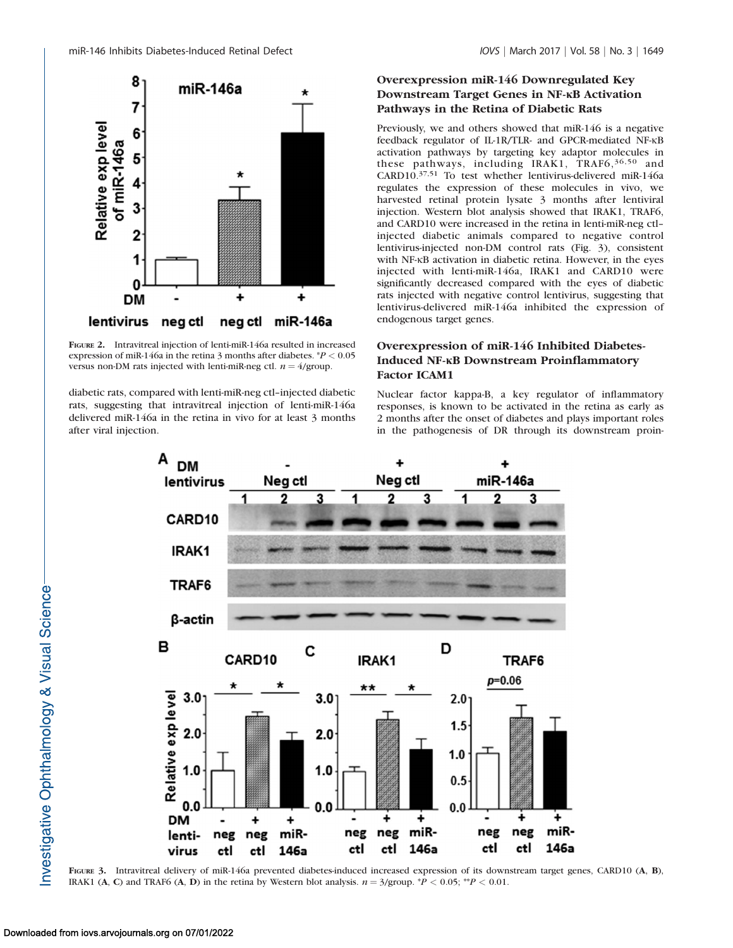

FIGURE 2. Intravitreal injection of lenti-miR-146a resulted in increased expression of miR-146a in the retina 3 months after diabetes.  $P < 0.05$ versus non-DM rats injected with lenti-miR-neg ctl.  $n = 4$ /group.

diabetic rats, compared with lenti-miR-neg ctl–injected diabetic rats, suggesting that intravitreal injection of lenti-miR-146a delivered miR-146a in the retina in vivo for at least 3 months after viral injection.

# Overexpression miR-146 Downregulated Key Downstream Target Genes in NF-KB Activation Pathways in the Retina of Diabetic Rats

Previously, we and others showed that miR-146 is a negative feedback regulator of IL-1R/TLR- and GPCR-mediated NF-KB activation pathways by targeting key adaptor molecules in these pathways, including IRAK1, TRAF6, 36, 50 and CARD10.37,51 To test whether lentivirus-delivered miR-146a regulates the expression of these molecules in vivo, we harvested retinal protein lysate 3 months after lentiviral injection. Western blot analysis showed that IRAK1, TRAF6, and CARD10 were increased in the retina in lenti-miR-neg ctl– injected diabetic animals compared to negative control lentivirus-injected non-DM control rats (Fig. 3), consistent with NF-KB activation in diabetic retina. However, in the eyes injected with lenti-miR-146a, IRAK1 and CARD10 were significantly decreased compared with the eyes of diabetic rats injected with negative control lentivirus, suggesting that lentivirus-delivered miR-146a inhibited the expression of endogenous target genes.

# Overexpression of miR-146 Inhibited Diabetes-Induced NF-KB Downstream Proinflammatory Factor ICAM1

Nuclear factor kappa-B, a key regulator of inflammatory responses, is known to be activated in the retina as early as 2 months after the onset of diabetes and plays important roles in the pathogenesis of DR through its downstream proin-



FIGURE 3. Intravitreal delivery of miR-146a prevented diabetes-induced increased expression of its downstream target genes, CARD10 (A, B), IRAK1 (A, C) and TRAF6 (A, D) in the retina by Western blot analysis.  $n = 3/\text{group.}^*P < 0.05; ^{**P} < 0.01$ .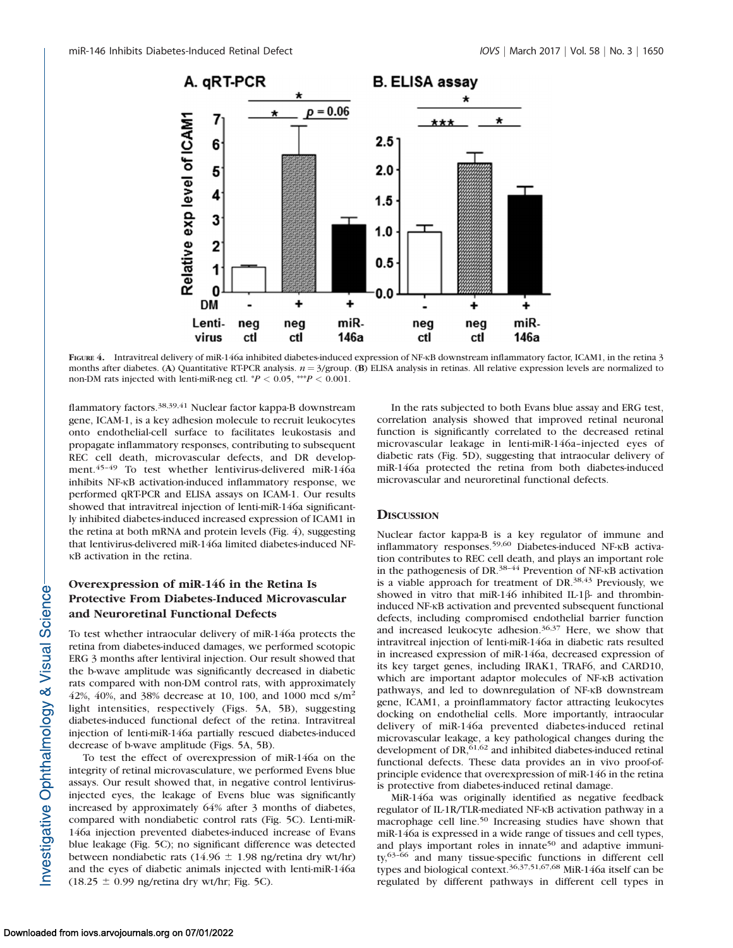

FIGURE 4. Intravitreal delivery of miR-146a inhibited diabetes-induced expression of NF-KB downstream inflammatory factor, ICAM1, in the retina 3 months after diabetes. (A) Quantitative RT-PCR analysis.  $n = 3$ /group. (B) ELISA analysis in retinas. All relative expression levels are normalized to non-DM rats injected with lenti-miR-neg ctl.  $^{*}P$  < 0.05, \*\*\* $P$  < 0.001.

flammatory factors.<sup>38,39,41</sup> Nuclear factor kappa-B downstream gene, ICAM-1, is a key adhesion molecule to recruit leukocytes onto endothelial-cell surface to facilitates leukostasis and propagate inflammatory responses, contributing to subsequent REC cell death, microvascular defects, and DR development.45–49 To test whether lentivirus-delivered miR-146a inhibits NF-KB activation-induced inflammatory response, we performed qRT-PCR and ELISA assays on ICAM-1. Our results showed that intravitreal injection of lenti-miR-146a significantly inhibited diabetes-induced increased expression of ICAM1 in the retina at both mRNA and protein levels (Fig. 4), suggesting that lentivirus-delivered miR-146a limited diabetes-induced NF-KB activation in the retina.

# Overexpression of miR-146 in the Retina Is Protective From Diabetes-Induced Microvascular and Neuroretinal Functional Defects

To test whether intraocular delivery of miR-146a protects the retina from diabetes-induced damages, we performed scotopic ERG 3 months after lentiviral injection. Our result showed that the b-wave amplitude was significantly decreased in diabetic rats compared with non-DM control rats, with approximately 42%, 40%, and 38% decrease at 10, 100, and 1000 mcd  $s/m<sup>2</sup>$ light intensities, respectively (Figs. 5A, 5B), suggesting diabetes-induced functional defect of the retina. Intravitreal injection of lenti-miR-146a partially rescued diabetes-induced decrease of b-wave amplitude (Figs. 5A, 5B).

To test the effect of overexpression of miR-146a on the integrity of retinal microvasculature, we performed Evens blue assays. Our result showed that, in negative control lentivirusinjected eyes, the leakage of Evens blue was significantly increased by approximately 64% after 3 months of diabetes, compared with nondiabetic control rats (Fig. 5C). Lenti-miR-146a injection prevented diabetes-induced increase of Evans blue leakage (Fig. 5C); no significant difference was detected between nondiabetic rats (14.96  $\pm$  1.98 ng/retina dry wt/hr) and the eyes of diabetic animals injected with lenti-miR-146a  $(18.25 \pm 0.99 \text{ ng/retina dry wt/hr}; \text{Fig. 5C}).$ 

In the rats subjected to both Evans blue assay and ERG test, correlation analysis showed that improved retinal neuronal function is significantly correlated to the decreased retinal microvascular leakage in lenti-miR-146a–injected eyes of diabetic rats (Fig. 5D), suggesting that intraocular delivery of miR-146a protected the retina from both diabetes-induced microvascular and neuroretinal functional defects.

## **DISCUSSION**

Nuclear factor kappa-B is a key regulator of immune and inflammatory responses.<sup>59,60</sup> Diabetes-induced NF-KB activation contributes to REC cell death, and plays an important role in the pathogenesis of DR. $38-44$  Prevention of NF- $\kappa$ B activation is a viable approach for treatment of DR.<sup>38,43</sup> Previously, we showed in vitro that miR-146 inhibited IL-1 $\beta$ - and thrombininduced NF-KB activation and prevented subsequent functional defects, including compromised endothelial barrier function and increased leukocyte adhesion.36,37 Here, we show that intravitreal injection of lenti-miR-146a in diabetic rats resulted in increased expression of miR-146a, decreased expression of its key target genes, including IRAK1, TRAF6, and CARD10, which are important adaptor molecules of NF-KB activation pathways, and led to downregulation of NF-KB downstream gene, ICAM1, a proinflammatory factor attracting leukocytes docking on endothelial cells. More importantly, intraocular delivery of miR-146a prevented diabetes-induced retinal microvascular leakage, a key pathological changes during the development of DR,<sup>61,62</sup> and inhibited diabetes-induced retinal functional defects. These data provides an in vivo proof-ofprinciple evidence that overexpression of miR-146 in the retina is protective from diabetes-induced retinal damage.

MiR-146a was originally identified as negative feedback regulator of IL-1R/TLR-mediated NF-KB activation pathway in a macrophage cell line.<sup>50</sup> Increasing studies have shown that miR-146a is expressed in a wide range of tissues and cell types, and plays important roles in innate<sup>50</sup> and adaptive immunity,63–66 and many tissue-specific functions in different cell types and biological context.36,37,51,67,68 MiR-146a itself can be regulated by different pathways in different cell types in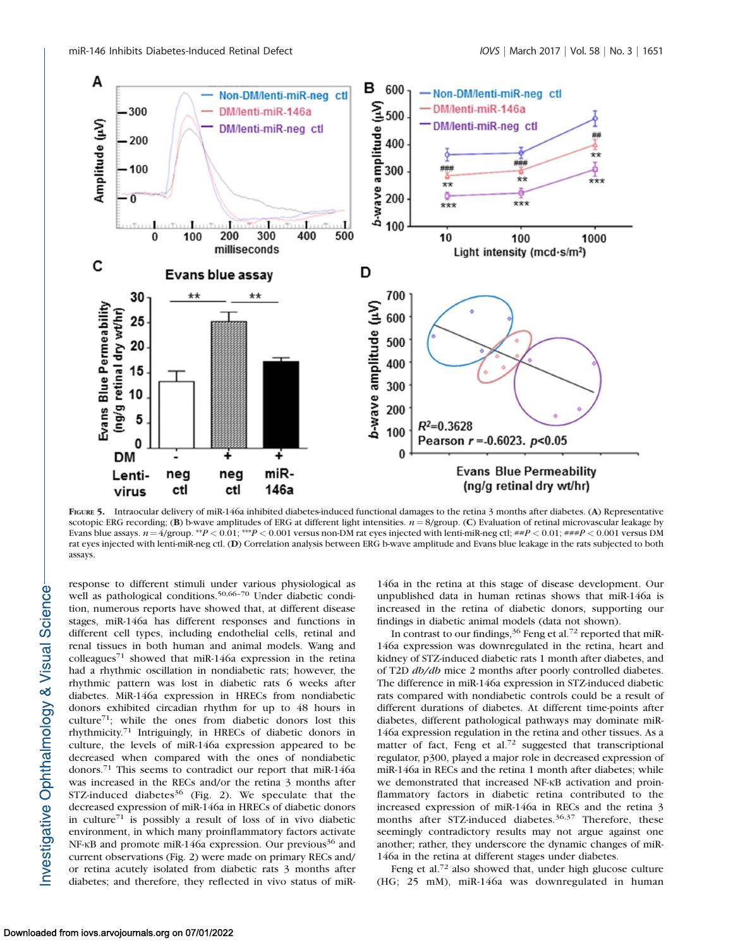

FIGURE 5. Intraocular delivery of miR-146a inhibited diabetes-induced functional damages to the retina 3 months after diabetes. (A) Representative scotopic ERG recording; (B) b-wave amplitudes of ERG at different light intensities.  $n = 8$ /group. (C) Evaluation of retinal microvascular leakage by Evans blue assays.  $n=4$ /group. \*\*P < 0.01; \*\*\*P < 0.001 versus non-DM rat eyes injected with lenti-miR-neg ctl;  $\#P$  < 0.01;  $\#H$  < 0.001 versus DM rat eyes injected with lenti-miR-neg ctl. (D) Correlation analysis between ERG b-wave amplitude and Evans blue leakage in the rats subjected to both assays.

response to different stimuli under various physiological as well as pathological conditions.<sup>50,66-70</sup> Under diabetic condition, numerous reports have showed that, at different disease stages, miR-146a has different responses and functions in different cell types, including endothelial cells, retinal and renal tissues in both human and animal models. Wang and colleagues<sup>71</sup> showed that miR-146a expression in the retina had a rhythmic oscillation in nondiabetic rats; however, the rhythmic pattern was lost in diabetic rats 6 weeks after diabetes. MiR-146a expression in HRECs from nondiabetic donors exhibited circadian rhythm for up to 48 hours in culture<sup>71</sup>; while the ones from diabetic donors lost this rhythmicity.71 Intriguingly, in HRECs of diabetic donors in culture, the levels of miR-146a expression appeared to be decreased when compared with the ones of nondiabetic donors.<sup>71</sup> This seems to contradict our report that miR-146a was increased in the RECs and/or the retina 3 months after STZ-induced diabetes $36$  (Fig. 2). We speculate that the decreased expression of miR-146a in HRECs of diabetic donors in culture<sup>71</sup> is possibly a result of loss of in vivo diabetic environment, in which many proinflammatory factors activate NF-KB and promote miR-146a expression. Our previous<sup>36</sup> and current observations (Fig. 2) were made on primary RECs and/ or retina acutely isolated from diabetic rats 3 months after diabetes; and therefore, they reflected in vivo status of miR-

146a in the retina at this stage of disease development. Our unpublished data in human retinas shows that miR-146a is increased in the retina of diabetic donors, supporting our findings in diabetic animal models (data not shown).

In contrast to our findings,  $36$  Feng et al.<sup>72</sup> reported that miR-146a expression was downregulated in the retina, heart and kidney of STZ-induced diabetic rats 1 month after diabetes, and of T2D db/db mice 2 months after poorly controlled diabetes. The difference in miR-146a expression in STZ-induced diabetic rats compared with nondiabetic controls could be a result of different durations of diabetes. At different time-points after diabetes, different pathological pathways may dominate miR-146a expression regulation in the retina and other tissues. As a matter of fact, Feng et al.<sup>72</sup> suggested that transcriptional regulator, p300, played a major role in decreased expression of miR-146a in RECs and the retina 1 month after diabetes; while we demonstrated that increased NF-KB activation and proinflammatory factors in diabetic retina contributed to the increased expression of miR-146a in RECs and the retina 3 months after STZ-induced diabetes.<sup>36,37</sup> Therefore, these seemingly contradictory results may not argue against one another; rather, they underscore the dynamic changes of miR-146a in the retina at different stages under diabetes.

Feng et al.<sup>72</sup> also showed that, under high glucose culture (HG; 25 mM), miR-146a was downregulated in human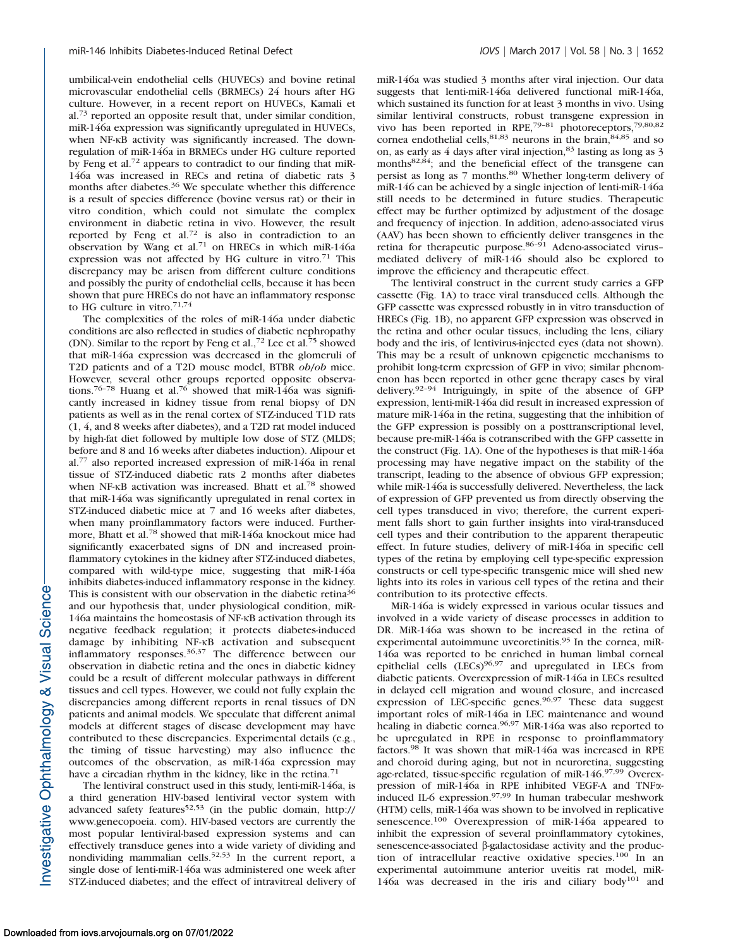umbilical-vein endothelial cells (HUVECs) and bovine retinal microvascular endothelial cells (BRMECs) 24 hours after HG culture. However, in a recent report on HUVECs, Kamali et al.<sup>73</sup> reported an opposite result that, under similar condition, miR-146a expression was significantly upregulated in HUVECs, when NF-KB activity was significantly increased. The downregulation of miR-146a in BRMECs under HG culture reported by Feng et al.<sup>72</sup> appears to contradict to our finding that miR-146a was increased in RECs and retina of diabetic rats 3 months after diabetes.<sup>36</sup> We speculate whether this difference is a result of species difference (bovine versus rat) or their in vitro condition, which could not simulate the complex environment in diabetic retina in vivo. However, the result reported by Feng et al.<sup>72</sup> is also in contradiction to an observation by Wang et al.<sup>71</sup> on HRECs in which miR-146a expression was not affected by HG culture in vitro.<sup>71</sup> This discrepancy may be arisen from different culture conditions and possibly the purity of endothelial cells, because it has been shown that pure HRECs do not have an inflammatory response to HG culture in vitro. $71,74$ 

The complexities of the roles of miR-146a under diabetic conditions are also reflected in studies of diabetic nephropathy (DN). Similar to the report by Feng et al.,<sup>72</sup> Lee et al.<sup>75</sup> showed that miR-146a expression was decreased in the glomeruli of T2D patients and of a T2D mouse model, BTBR ob/ob mice. However, several other groups reported opposite observations.<sup>76-78</sup> Huang et al.<sup>76</sup> showed that miR-146a was significantly increased in kidney tissue from renal biopsy of DN patients as well as in the renal cortex of STZ-induced T1D rats (1, 4, and 8 weeks after diabetes), and a T2D rat model induced by high-fat diet followed by multiple low dose of STZ (MLDS; before and 8 and 16 weeks after diabetes induction). Alipour et al.<sup>77</sup> also reported increased expression of miR-146a in renal tissue of STZ-induced diabetic rats 2 months after diabetes when NF-KB activation was increased. Bhatt et al.<sup>78</sup> showed that miR-146a was significantly upregulated in renal cortex in STZ-induced diabetic mice at 7 and 16 weeks after diabetes, when many proinflammatory factors were induced. Furthermore, Bhatt et al.<sup>78</sup> showed that miR-146a knockout mice had significantly exacerbated signs of DN and increased proinflammatory cytokines in the kidney after STZ-induced diabetes, compared with wild-type mice, suggesting that miR-146a inhibits diabetes-induced inflammatory response in the kidney. This is consistent with our observation in the diabetic retina<sup>36</sup> and our hypothesis that, under physiological condition, miR-146a maintains the homeostasis of NF-KB activation through its negative feedback regulation; it protects diabetes-induced damage by inhibiting NF-KB activation and subsequent inflammatory responses.36,37 The difference between our observation in diabetic retina and the ones in diabetic kidney could be a result of different molecular pathways in different tissues and cell types. However, we could not fully explain the discrepancies among different reports in renal tissues of DN patients and animal models. We speculate that different animal models at different stages of disease development may have contributed to these discrepancies. Experimental details (e.g., the timing of tissue harvesting) may also influence the outcomes of the observation, as miR-146a expression may have a circadian rhythm in the kidney, like in the retina.<sup>71</sup>

The lentiviral construct used in this study, lenti-miR-146a, is a third generation HIV-based lentiviral vector system with advanced safety features<sup>52,53</sup> (in the public domain, http:// www.genecopoeia. com). HIV-based vectors are currently the most popular lentiviral-based expression systems and can effectively transduce genes into a wide variety of dividing and nondividing mammalian cells.<sup>52,53</sup> In the current report, a single dose of lenti-miR-146a was administered one week after STZ-induced diabetes; and the effect of intravitreal delivery of miR-146a was studied 3 months after viral injection. Our data suggests that lenti-miR-146a delivered functional miR-146a, which sustained its function for at least 3 months in vivo. Using similar lentiviral constructs, robust transgene expression in vivo has been reported in RPE,<sup>79-81</sup> photoreceptors,<sup>79,80,82</sup> cornea endothelial cells,  $81,83$  neurons in the brain,  $84,85$  and so on, as early as 4 days after viral injection, <sup>83</sup> lasting as long as 3 months82,84; and the beneficial effect of the transgene can persist as long as 7 months.<sup>80</sup> Whether long-term delivery of miR-146 can be achieved by a single injection of lenti-miR-146a still needs to be determined in future studies. Therapeutic effect may be further optimized by adjustment of the dosage and frequency of injection. In addition, adeno-associated virus (AAV) has been shown to efficiently deliver transgenes in the retina for therapeutic purpose.<sup>86-91</sup> Adeno-associated virusmediated delivery of miR-146 should also be explored to improve the efficiency and therapeutic effect.

The lentiviral construct in the current study carries a GFP cassette (Fig. 1A) to trace viral transduced cells. Although the GFP cassette was expressed robustly in in vitro transduction of HRECs (Fig. 1B), no apparent GFP expression was observed in the retina and other ocular tissues, including the lens, ciliary body and the iris, of lentivirus-injected eyes (data not shown). This may be a result of unknown epigenetic mechanisms to prohibit long-term expression of GFP in vivo; similar phenomenon has been reported in other gene therapy cases by viral delivery.92–94 Intriguingly, in spite of the absence of GFP expression, lenti-miR-146a did result in increased expression of mature miR-146a in the retina, suggesting that the inhibition of the GFP expression is possibly on a posttranscriptional level, because pre-miR-146a is cotranscribed with the GFP cassette in the construct (Fig. 1A). One of the hypotheses is that miR-146a processing may have negative impact on the stability of the transcript, leading to the absence of obvious GFP expression; while miR-146a is successfully delivered. Nevertheless, the lack of expression of GFP prevented us from directly observing the cell types transduced in vivo; therefore, the current experiment falls short to gain further insights into viral-transduced cell types and their contribution to the apparent therapeutic effect. In future studies, delivery of miR-146a in specific cell types of the retina by employing cell type-specific expression constructs or cell type-specific transgenic mice will shed new lights into its roles in various cell types of the retina and their contribution to its protective effects.

MiR-146a is widely expressed in various ocular tissues and involved in a wide variety of disease processes in addition to DR. MiR-146a was shown to be increased in the retina of experimental autoimmune uveoretinitis.<sup>95</sup> In the cornea, miR-146a was reported to be enriched in human limbal corneal epithelial cells (LECs)<sup>96,97</sup> and upregulated in LECs from diabetic patients. Overexpression of miR-146a in LECs resulted in delayed cell migration and wound closure, and increased expression of LEC-specific genes.<sup>96,97</sup> These data suggest important roles of miR-146a in LEC maintenance and wound healing in diabetic cornea.<sup>96,97</sup> MiR-146a was also reported to be upregulated in RPE in response to proinflammatory factors.<sup>98</sup> It was shown that miR-146a was increased in RPE and choroid during aging, but not in neuroretina, suggesting age-related, tissue-specific regulation of miR-146.97,99 Overexpression of miR-146a in RPE inhibited VEGF-A and TNFainduced IL-6 expression.<sup>97,99</sup> In human trabecular meshwork (HTM) cells, miR-146a was shown to be involved in replicative senescence.<sup>100</sup> Overexpression of miR-146a appeared to inhibit the expression of several proinflammatory cytokines, senescence-associated  $\beta$ -galactosidase activity and the production of intracellular reactive oxidative species.<sup>100</sup> In an experimental autoimmune anterior uveitis rat model, miR-146a was decreased in the iris and ciliary body<sup>101</sup> and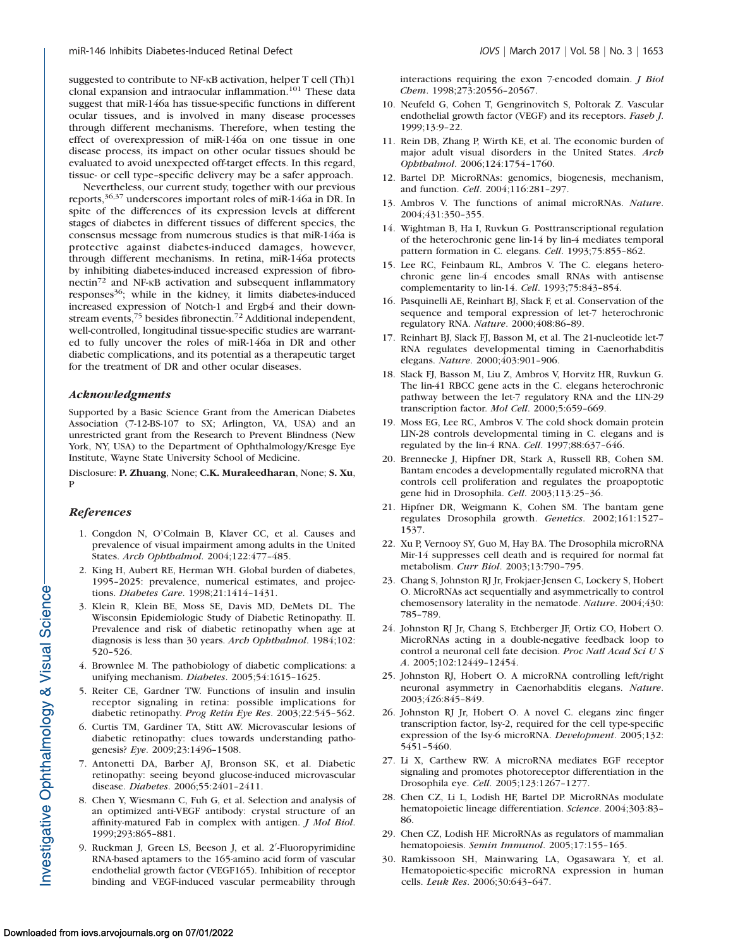suggested to contribute to NF-KB activation, helper T cell (Th)1 clonal expansion and intraocular inflammation.<sup>101</sup> These data suggest that miR-146a has tissue-specific functions in different ocular tissues, and is involved in many disease processes through different mechanisms. Therefore, when testing the effect of overexpression of miR-146a on one tissue in one disease process, its impact on other ocular tissues should be evaluated to avoid unexpected off-target effects. In this regard, tissue- or cell type–specific delivery may be a safer approach.

Nevertheless, our current study, together with our previous reports,36,37 underscores important roles of miR-146a in DR. In spite of the differences of its expression levels at different stages of diabetes in different tissues of different species, the consensus message from numerous studies is that miR-146a is protective against diabetes-induced damages, however, through different mechanisms. In retina, miR-146a protects by inhibiting diabetes-induced increased expression of fibronectin<sup>72</sup> and NF-KB activation and subsequent inflammatory responses<sup>36</sup>; while in the kidney, it limits diabetes-induced increased expression of Notch-1 and Ergb4 and their downstream events,<sup>75</sup> besides fibronectin.<sup>72</sup> Additional independent, well-controlled, longitudinal tissue-specific studies are warranted to fully uncover the roles of miR-146a in DR and other diabetic complications, and its potential as a therapeutic target for the treatment of DR and other ocular diseases.

### Acknowledgments

Supported by a Basic Science Grant from the American Diabetes Association (7-12-BS-107 to SX; Arlington, VA, USA) and an unrestricted grant from the Research to Prevent Blindness (New York, NY, USA) to the Department of Ophthalmology/Kresge Eye Institute, Wayne State University School of Medicine.

Disclosure: P. Zhuang, None; C.K. Muraleedharan, None; S. Xu, P

## **References**

- 1. Congdon N, O'Colmain B, Klaver CC, et al. Causes and prevalence of visual impairment among adults in the United States. Arch Ophthalmol. 2004;122:477–485.
- 2. King H, Aubert RE, Herman WH. Global burden of diabetes, 1995–2025: prevalence, numerical estimates, and projections. Diabetes Care. 1998;21:1414–1431.
- 3. Klein R, Klein BE, Moss SE, Davis MD, DeMets DL. The Wisconsin Epidemiologic Study of Diabetic Retinopathy. II. Prevalence and risk of diabetic retinopathy when age at diagnosis is less than 30 years. Arch Ophthalmol. 1984;102: 520–526.
- 4. Brownlee M. The pathobiology of diabetic complications: a unifying mechanism. Diabetes. 2005;54:1615-1625.
- 5. Reiter CE, Gardner TW. Functions of insulin and insulin receptor signaling in retina: possible implications for diabetic retinopathy. Prog Retin Eye Res. 2003;22:545-562.
- 6. Curtis TM, Gardiner TA, Stitt AW. Microvascular lesions of diabetic retinopathy: clues towards understanding pathogenesis? Eye. 2009;23:1496–1508.
- 7. Antonetti DA, Barber AJ, Bronson SK, et al. Diabetic retinopathy: seeing beyond glucose-induced microvascular disease. Diabetes. 2006;55:2401–2411.
- 8. Chen Y, Wiesmann C, Fuh G, et al. Selection and analysis of an optimized anti-VEGF antibody: crystal structure of an affinity-matured Fab in complex with antigen. J Mol Biol. 1999;293:865–881.
- 9. Ruckman J, Green LS, Beeson J, et al. 2'-Fluoropyrimidine RNA-based aptamers to the 165-amino acid form of vascular endothelial growth factor (VEGF165). Inhibition of receptor binding and VEGF-induced vascular permeability through

interactions requiring the exon 7-encoded domain. J Biol Chem. 1998;273:20556–20567.

- 10. Neufeld G, Cohen T, Gengrinovitch S, Poltorak Z. Vascular endothelial growth factor (VEGF) and its receptors. Faseb J. 1999;13:9–22.
- 11. Rein DB, Zhang P, Wirth KE, et al. The economic burden of major adult visual disorders in the United States. Arch Ophthalmol. 2006;124:1754–1760.
- 12. Bartel DP. MicroRNAs: genomics, biogenesis, mechanism, and function. Cell. 2004;116:281–297.
- 13. Ambros V. The functions of animal microRNAs. Nature. 2004;431:350–355.
- 14. Wightman B, Ha I, Ruvkun G. Posttranscriptional regulation of the heterochronic gene lin-14 by lin-4 mediates temporal pattern formation in C. elegans. Cell. 1993;75:855-862.
- 15. Lee RC, Feinbaum RL, Ambros V. The C. elegans heterochronic gene lin-4 encodes small RNAs with antisense complementarity to lin-14. Cell. 1993;75:843–854.
- 16. Pasquinelli AE, Reinhart BJ, Slack F, et al. Conservation of the sequence and temporal expression of let-7 heterochronic regulatory RNA. Nature. 2000;408:86–89.
- 17. Reinhart BJ, Slack FJ, Basson M, et al. The 21-nucleotide let-7 RNA regulates developmental timing in Caenorhabditis elegans. Nature. 2000;403:901–906.
- 18. Slack FJ, Basson M, Liu Z, Ambros V, Horvitz HR, Ruvkun G. The lin-41 RBCC gene acts in the C. elegans heterochronic pathway between the let-7 regulatory RNA and the LIN-29 transcription factor. Mol Cell. 2000;5:659–669.
- 19. Moss EG, Lee RC, Ambros V. The cold shock domain protein LIN-28 controls developmental timing in C. elegans and is regulated by the lin-4 RNA. Cell. 1997;88:637–646.
- 20. Brennecke J, Hipfner DR, Stark A, Russell RB, Cohen SM. Bantam encodes a developmentally regulated microRNA that controls cell proliferation and regulates the proapoptotic gene hid in Drosophila. Cell. 2003;113:25–36.
- 21. Hipfner DR, Weigmann K, Cohen SM. The bantam gene regulates Drosophila growth. Genetics. 2002;161:1527– 1537.
- 22. Xu P, Vernooy SY, Guo M, Hay BA. The Drosophila microRNA Mir-14 suppresses cell death and is required for normal fat metabolism. Curr Biol. 2003;13:790–795.
- 23. Chang S, Johnston RJ Jr, Frokjaer-Jensen C, Lockery S, Hobert O. MicroRNAs act sequentially and asymmetrically to control chemosensory laterality in the nematode. Nature. 2004;430: 785–789.
- 24. Johnston RJ Jr, Chang S, Etchberger JF, Ortiz CO, Hobert O. MicroRNAs acting in a double-negative feedback loop to control a neuronal cell fate decision. Proc Natl Acad Sci U S A. 2005;102:12449–12454.
- 25. Johnston RJ, Hobert O. A microRNA controlling left/right neuronal asymmetry in Caenorhabditis elegans. Nature. 2003;426:845–849.
- 26. Johnston RJ Jr, Hobert O. A novel C. elegans zinc finger transcription factor, lsy-2, required for the cell type-specific expression of the lsy-6 microRNA. Development. 2005;132: 5451–5460.
- 27. Li X, Carthew RW. A microRNA mediates EGF receptor signaling and promotes photoreceptor differentiation in the Drosophila eye. Cell. 2005;123:1267–1277.
- 28. Chen CZ, Li L, Lodish HF, Bartel DP. MicroRNAs modulate hematopoietic lineage differentiation. Science. 2004;303:83– 86.
- 29. Chen CZ, Lodish HF. MicroRNAs as regulators of mammalian hematopoiesis. Semin Immunol. 2005;17:155-165.
- 30. Ramkissoon SH, Mainwaring LA, Ogasawara Y, et al. Hematopoietic-specific microRNA expression in human cells. Leuk Res. 2006;30:643–647.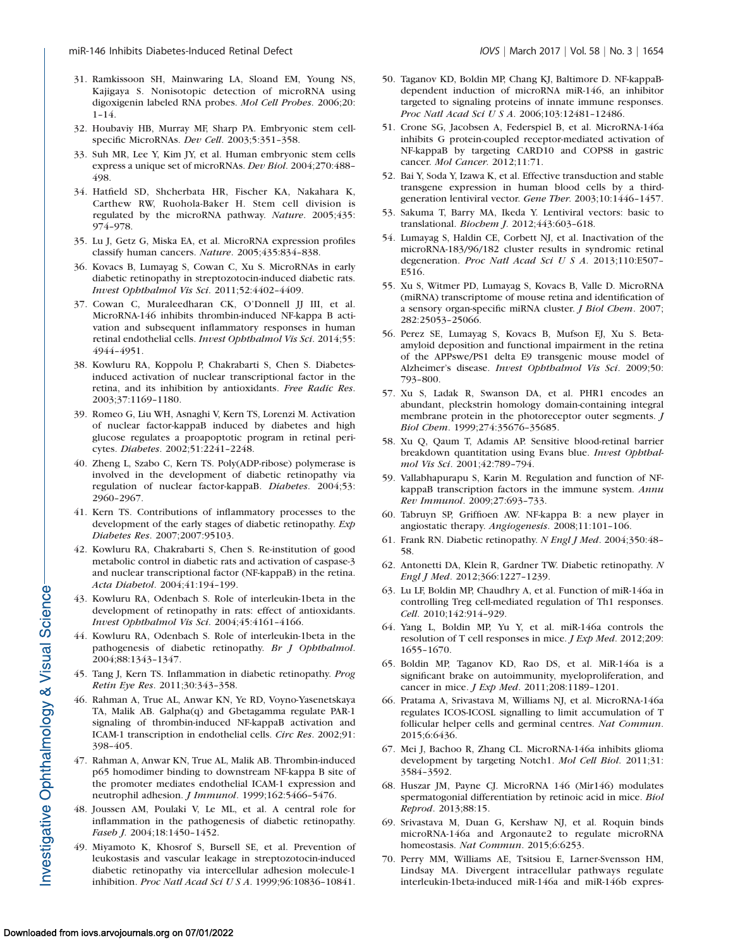- 31. Ramkissoon SH, Mainwaring LA, Sloand EM, Young NS, Kajigaya S. Nonisotopic detection of microRNA using digoxigenin labeled RNA probes. Mol Cell Probes. 2006;20: 1–14.
- 32. Houbaviy HB, Murray MF, Sharp PA. Embryonic stem cellspecific MicroRNAs. Dev Cell. 2003;5:351-358.
- 33. Suh MR, Lee Y, Kim JY, et al. Human embryonic stem cells express a unique set of microRNAs. Dev Biol. 2004;270:488– 498.
- 34. Hatfield SD, Shcherbata HR, Fischer KA, Nakahara K, Carthew RW, Ruohola-Baker H. Stem cell division is regulated by the microRNA pathway. Nature. 2005;435: 974–978.
- 35. Lu J, Getz G, Miska EA, et al. MicroRNA expression profiles classify human cancers. Nature. 2005;435:834–838.
- 36. Kovacs B, Lumayag S, Cowan C, Xu S. MicroRNAs in early diabetic retinopathy in streptozotocin-induced diabetic rats. Invest Ophthalmol Vis Sci. 2011;52:4402–4409.
- 37. Cowan C, Muraleedharan CK, O'Donnell JJ III, et al. MicroRNA-146 inhibits thrombin-induced NF-kappa B activation and subsequent inflammatory responses in human retinal endothelial cells. Invest Ophthalmol Vis Sci. 2014;55: 4944–4951.
- 38. Kowluru RA, Koppolu P, Chakrabarti S, Chen S. Diabetesinduced activation of nuclear transcriptional factor in the retina, and its inhibition by antioxidants. Free Radic Res. 2003;37:1169–1180.
- 39. Romeo G, Liu WH, Asnaghi V, Kern TS, Lorenzi M. Activation of nuclear factor-kappaB induced by diabetes and high glucose regulates a proapoptotic program in retinal pericytes. Diabetes. 2002;51:2241–2248.
- 40. Zheng L, Szabo C, Kern TS. Poly(ADP-ribose) polymerase is involved in the development of diabetic retinopathy via regulation of nuclear factor-kappaB. Diabetes. 2004;53: 2960–2967.
- 41. Kern TS. Contributions of inflammatory processes to the development of the early stages of diabetic retinopathy. Exp Diabetes Res. 2007;2007:95103.
- 42. Kowluru RA, Chakrabarti S, Chen S. Re-institution of good metabolic control in diabetic rats and activation of caspase-3 and nuclear transcriptional factor (NF-kappaB) in the retina. Acta Diabetol. 2004;41:194–199.
- 43. Kowluru RA, Odenbach S. Role of interleukin-1beta in the development of retinopathy in rats: effect of antioxidants. Invest Ophthalmol Vis Sci. 2004;45:4161–4166.
- 44. Kowluru RA, Odenbach S. Role of interleukin-1beta in the pathogenesis of diabetic retinopathy. Br J Ophthalmol. 2004;88:1343–1347.
- 45. Tang J, Kern TS. Inflammation in diabetic retinopathy. Prog Retin Eye Res. 2011;30:343–358.
- 46. Rahman A, True AL, Anwar KN, Ye RD, Voyno-Yasenetskaya TA, Malik AB. Galpha(q) and Gbetagamma regulate PAR-1 signaling of thrombin-induced NF-kappaB activation and ICAM-1 transcription in endothelial cells. Circ Res. 2002;91: 398–405.
- 47. Rahman A, Anwar KN, True AL, Malik AB. Thrombin-induced p65 homodimer binding to downstream NF-kappa B site of the promoter mediates endothelial ICAM-1 expression and neutrophil adhesion. J Immunol. 1999;162:5466-5476.
- 48. Joussen AM, Poulaki V, Le ML, et al. A central role for inflammation in the pathogenesis of diabetic retinopathy. Faseb J. 2004;18:1450–1452.
- 49. Miyamoto K, Khosrof S, Bursell SE, et al. Prevention of leukostasis and vascular leakage in streptozotocin-induced diabetic retinopathy via intercellular adhesion molecule-1 inhibition. Proc Natl Acad Sci U S A. 1999;96:10836–10841.
- 50. Taganov KD, Boldin MP, Chang KJ, Baltimore D. NF-kappaBdependent induction of microRNA miR-146, an inhibitor targeted to signaling proteins of innate immune responses. Proc Natl Acad Sci U S A. 2006;103:12481–12486.
- 51. Crone SG, Jacobsen A, Federspiel B, et al. MicroRNA-146a inhibits G protein-coupled receptor-mediated activation of NF-kappaB by targeting CARD10 and COPS8 in gastric cancer. Mol Cancer. 2012;11:71.
- 52. Bai Y, Soda Y, Izawa K, et al. Effective transduction and stable transgene expression in human blood cells by a thirdgeneration lentiviral vector. Gene Ther. 2003;10:1446–1457.
- 53. Sakuma T, Barry MA, Ikeda Y. Lentiviral vectors: basic to translational. Biochem J. 2012;443:603–618.
- 54. Lumayag S, Haldin CE, Corbett NJ, et al. Inactivation of the microRNA-183/96/182 cluster results in syndromic retinal degeneration. Proc Natl Acad Sci U S A. 2013;110:E507– E516.
- 55. Xu S, Witmer PD, Lumayag S, Kovacs B, Valle D. MicroRNA (miRNA) transcriptome of mouse retina and identification of a sensory organ-specific miRNA cluster. *J Biol Chem.* 2007; 282:25053–25066.
- 56. Perez SE, Lumayag S, Kovacs B, Mufson EJ, Xu S. Betaamyloid deposition and functional impairment in the retina of the APPswe/PS1 delta E9 transgenic mouse model of Alzheimer's disease. Invest Ophthalmol Vis Sci. 2009;50: 793–800.
- 57. Xu S, Ladak R, Swanson DA, et al. PHR1 encodes an abundant, pleckstrin homology domain-containing integral membrane protein in the photoreceptor outer segments. J Biol Chem. 1999;274:35676–35685.
- 58. Xu Q, Qaum T, Adamis AP. Sensitive blood-retinal barrier breakdown quantitation using Evans blue. Invest Ophthalmol Vis Sci. 2001;42:789–794.
- 59. Vallabhapurapu S, Karin M. Regulation and function of NFkappaB transcription factors in the immune system. Annu Rev Immunol. 2009;27:693–733.
- 60. Tabruyn SP, Griffioen AW. NF-kappa B: a new player in angiostatic therapy. Angiogenesis. 2008;11:101–106.
- 61. Frank RN. Diabetic retinopathy. N Engl J Med. 2004;350:48– 58.
- 62. Antonetti DA, Klein R, Gardner TW. Diabetic retinopathy. N Engl J Med. 2012;366:1227–1239.
- 63. Lu LF, Boldin MP, Chaudhry A, et al. Function of miR-146a in controlling Treg cell-mediated regulation of Th1 responses. Cell. 2010;142:914–929.
- 64. Yang L, Boldin MP, Yu Y, et al. miR-146a controls the resolution of T cell responses in mice. *J Exp Med.* 2012;209: 1655–1670.
- 65. Boldin MP, Taganov KD, Rao DS, et al. MiR-146a is a significant brake on autoimmunity, myeloproliferation, and cancer in mice. J Exp Med. 2011;208:1189–1201.
- 66. Pratama A, Srivastava M, Williams NJ, et al. MicroRNA-146a regulates ICOS-ICOSL signalling to limit accumulation of T follicular helper cells and germinal centres. Nat Commun. 2015;6:6436.
- 67. Mei J, Bachoo R, Zhang CL. MicroRNA-146a inhibits glioma development by targeting Notch1. Mol Cell Biol. 2011;31: 3584–3592.
- 68. Huszar JM, Payne CJ. MicroRNA 146 (Mir146) modulates spermatogonial differentiation by retinoic acid in mice. Biol Reprod. 2013;88:15.
- 69. Srivastava M, Duan G, Kershaw NJ, et al. Roquin binds microRNA-146a and Argonaute2 to regulate microRNA homeostasis. Nat Commun. 2015;6:6253.
- 70. Perry MM, Williams AE, Tsitsiou E, Larner-Svensson HM, Lindsay MA. Divergent intracellular pathways regulate interleukin-1beta-induced miR-146a and miR-146b expres-